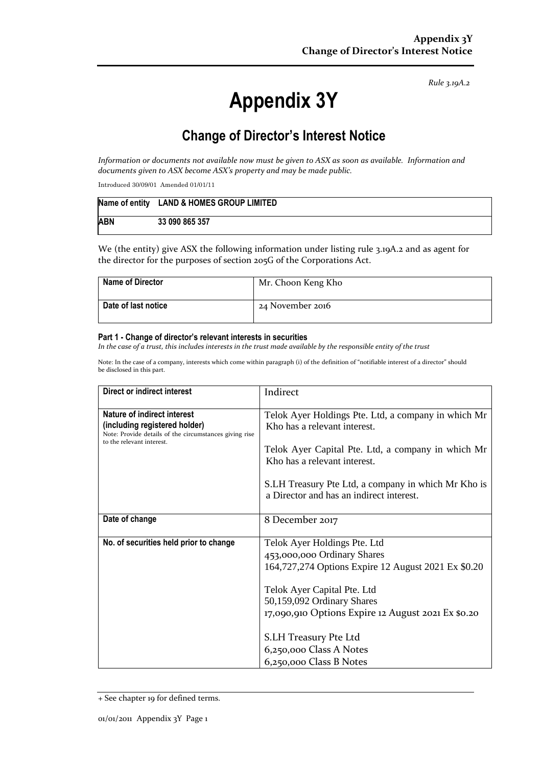*Rule 3.19A.2*

# **Appendix 3Y**

# **Change of Director's Interest Notice**

*Information or documents not available now must be given to ASX as soon as available. Information and documents given to ASX become ASX's property and may be made public.*

Introduced 30/09/01 Amended 01/01/11

|            | Name of entity LAND & HOMES GROUP LIMITED |
|------------|-------------------------------------------|
| <b>ABN</b> | 33 090 865 357                            |

We (the entity) give ASX the following information under listing rule 3.19A.2 and as agent for the director for the purposes of section 205G of the Corporations Act.

| <b>Name of Director</b> | Mr. Choon Keng Kho |
|-------------------------|--------------------|
| Date of last notice     | 24 November 2016   |

#### **Part 1 - Change of director's relevant interests in securities**

*In the case of a trust, this includes interests in the trust made available by the responsible entity of the trust*

Note: In the case of a company, interests which come within paragraph (i) of the definition of "notifiable interest of a director" should be disclosed in this part.

| Direct or indirect interest                                                                                                                         | Indirect                                                                                                                                  |  |
|-----------------------------------------------------------------------------------------------------------------------------------------------------|-------------------------------------------------------------------------------------------------------------------------------------------|--|
| Nature of indirect interest<br>(including registered holder)<br>Note: Provide details of the circumstances giving rise<br>to the relevant interest. | Telok Ayer Holdings Pte. Ltd, a company in which Mr<br>Kho has a relevant interest.<br>Telok Ayer Capital Pte. Ltd, a company in which Mr |  |
|                                                                                                                                                     | Kho has a relevant interest.                                                                                                              |  |
|                                                                                                                                                     | S.LH Treasury Pte Ltd, a company in which Mr Kho is<br>a Director and has an indirect interest.                                           |  |
| Date of change                                                                                                                                      | 8 December 2017                                                                                                                           |  |
| No. of securities held prior to change                                                                                                              | Telok Ayer Holdings Pte. Ltd                                                                                                              |  |
|                                                                                                                                                     | 453,000,000 Ordinary Shares                                                                                                               |  |
|                                                                                                                                                     | 164,727,274 Options Expire 12 August 2021 Ex \$0.20                                                                                       |  |
|                                                                                                                                                     | Telok Ayer Capital Pte. Ltd                                                                                                               |  |
|                                                                                                                                                     | 50,159,092 Ordinary Shares                                                                                                                |  |
|                                                                                                                                                     | 17,090,910 Options Expire 12 August 2021 Ex \$0.20                                                                                        |  |
|                                                                                                                                                     |                                                                                                                                           |  |
|                                                                                                                                                     | S.LH Treasury Pte Ltd                                                                                                                     |  |
|                                                                                                                                                     | 6,250,000 Class A Notes                                                                                                                   |  |
|                                                                                                                                                     | 6,250,000 Class B Notes                                                                                                                   |  |

<sup>+</sup> See chapter 19 for defined terms.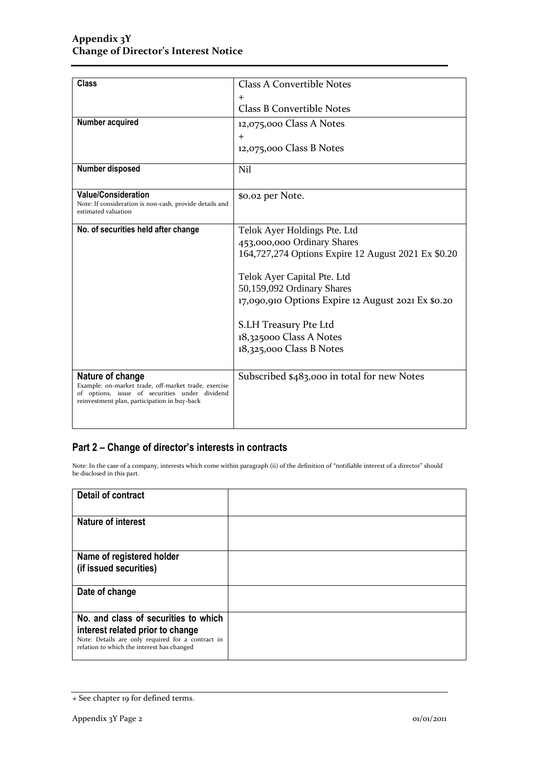| <b>Class</b>                                                             | <b>Class A Convertible Notes</b>                    |  |
|--------------------------------------------------------------------------|-----------------------------------------------------|--|
|                                                                          |                                                     |  |
|                                                                          | $\div$                                              |  |
|                                                                          | <b>Class B Convertible Notes</b>                    |  |
| Number acquired                                                          | 12,075,000 Class A Notes                            |  |
|                                                                          | $\pm$                                               |  |
|                                                                          | 12,075,000 Class B Notes                            |  |
|                                                                          |                                                     |  |
| Number disposed                                                          | N <sub>il</sub>                                     |  |
|                                                                          |                                                     |  |
| <b>Value/Consideration</b>                                               | \$0.02 per Note.                                    |  |
| Note: If consideration is non-cash, provide details and                  |                                                     |  |
| estimated valuation                                                      |                                                     |  |
| No. of securities held after change                                      | Telok Ayer Holdings Pte. Ltd                        |  |
|                                                                          | 453,000,000 Ordinary Shares                         |  |
|                                                                          | 164,727,274 Options Expire 12 August 2021 Ex \$0.20 |  |
|                                                                          |                                                     |  |
|                                                                          | Telok Ayer Capital Pte. Ltd                         |  |
|                                                                          | 50,159,092 Ordinary Shares                          |  |
|                                                                          | 17,090,910 Options Expire 12 August 2021 Ex \$0.20  |  |
|                                                                          |                                                     |  |
|                                                                          | S.LH Treasury Pte Ltd                               |  |
|                                                                          | 18,325000 Class A Notes                             |  |
|                                                                          | 18,325,000 Class B Notes                            |  |
|                                                                          |                                                     |  |
|                                                                          |                                                     |  |
| Nature of change<br>Example: on-market trade, off-market trade, exercise | Subscribed \$483,000 in total for new Notes         |  |
| of options, issue of securities under dividend                           |                                                     |  |
| reinvestment plan, participation in buy-back                             |                                                     |  |
|                                                                          |                                                     |  |
|                                                                          |                                                     |  |

### **Part 2 – Change of director's interests in contracts**

Note: In the case of a company, interests which come within paragraph (ii) of the definition of "notifiable interest of a director" should be disclosed in this part.

| <b>Detail of contract</b>                                                                                                                                                   |  |
|-----------------------------------------------------------------------------------------------------------------------------------------------------------------------------|--|
| <b>Nature of interest</b>                                                                                                                                                   |  |
| Name of registered holder<br>(if issued securities)                                                                                                                         |  |
| Date of change                                                                                                                                                              |  |
| No. and class of securities to which<br>interest related prior to change<br>Note: Details are only required for a contract in<br>relation to which the interest has changed |  |

<sup>+</sup> See chapter 19 for defined terms.